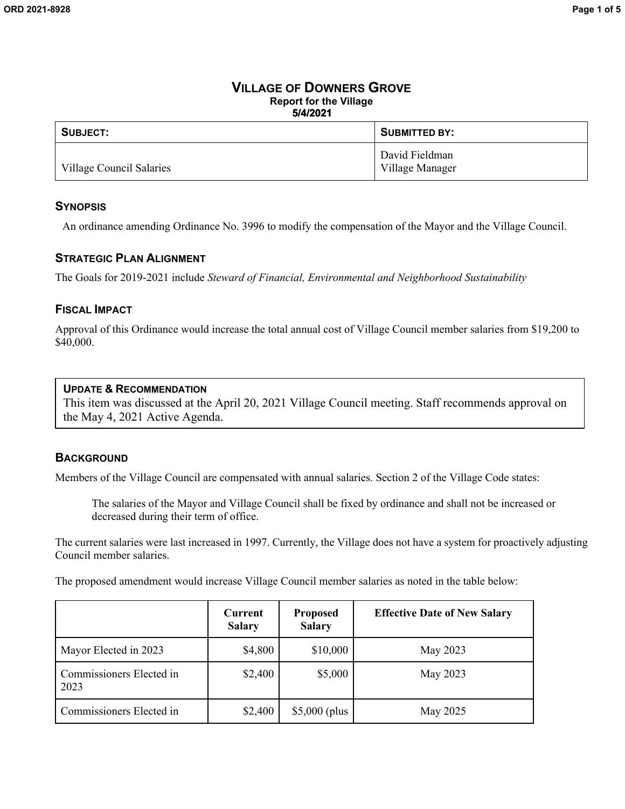## **VILLAGE OF DOWNERS GROVE Report for the Village 5/4/2021**

| SUBJECT:                 | <b>SUBMITTED BY:</b>              |
|--------------------------|-----------------------------------|
| Village Council Salaries | David Fieldman<br>Village Manager |

## **SYNOPSIS**

An ordinance amending Ordinance No. 3996 to modify the compensation of the Mayor and the Village Council.

## **STRATEGIC PLAN ALIGNMENT**

The Goals for 2019-2021 include *Steward of Financial, Environmental and Neighborhood Sustainability*

## **FISCAL IMPACT**

Approval of this Ordinance would increase the total annual cost of Village Council member salaries from \$19,200 to \$40,000.

## **UPDATE & RECOMMENDATION**

This item was discussed at the April 20, 2021 Village Council meeting. Staff recommends approval on the May 4, 2021 Active Agenda.

## **BACKGROUND**

Members of the Village Council are compensated with annual salaries. Section 2 of the Village Code states:

The salaries of the Mayor and Village Council shall be fixed by ordinance and shall not be increased or decreased during their term of office.

The current salaries were last increased in 1997. Currently, the Village does not have a system for proactively adjusting Council member salaries.

The proposed amendment would increase Village Council member salaries as noted in the table below:

|                                  | Current<br><b>Salary</b> | <b>Proposed</b><br><b>Salary</b> | <b>Effective Date of New Salary</b> |
|----------------------------------|--------------------------|----------------------------------|-------------------------------------|
| Mayor Elected in 2023            | \$4,800                  | \$10,000                         | May 2023                            |
| Commissioners Elected in<br>2023 | \$2,400                  | \$5,000                          | May 2023                            |
| Commissioners Elected in         | \$2,400                  | $$5,000$ (plus                   | May 2025                            |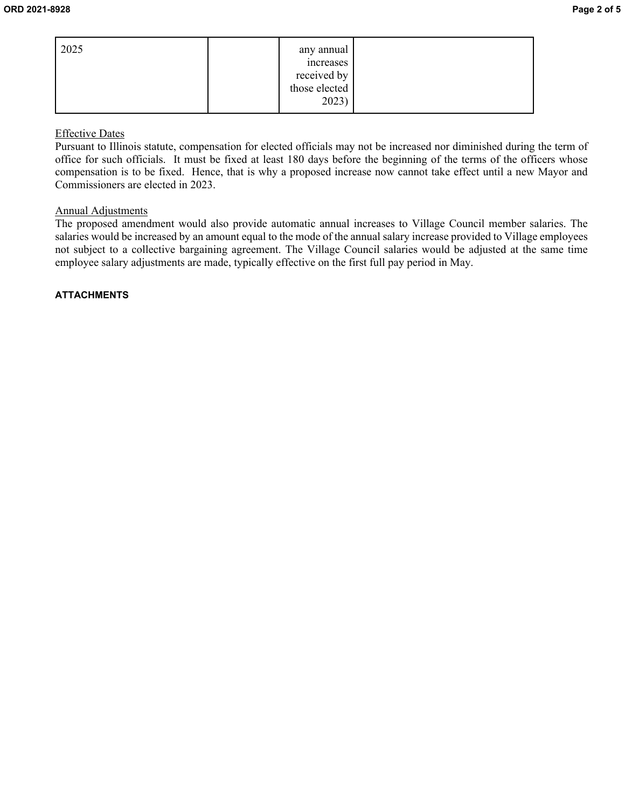| 2025 | any annual      |  |
|------|-----------------|--|
|      | <i>ncreases</i> |  |
|      | received by     |  |
|      | those elected   |  |
|      | 2023)           |  |

## Effective Dates

Pursuant to Illinois statute, compensation for elected officials may not be increased nor diminished during the term of office for such officials. It must be fixed at least 180 days before the beginning of the terms of the officers whose compensation is to be fixed. Hence, that is why a proposed increase now cannot take effect until a new Mayor and Commissioners are elected in 2023.

## Annual Adjustments

The proposed amendment would also provide automatic annual increases to Village Council member salaries. The salaries would be increased by an amount equal to the mode of the annual salary increase provided to Village employees not subject to a collective bargaining agreement. The Village Council salaries would be adjusted at the same time employee salary adjustments are made, typically effective on the first full pay period in May.

## **ATTACHMENTS**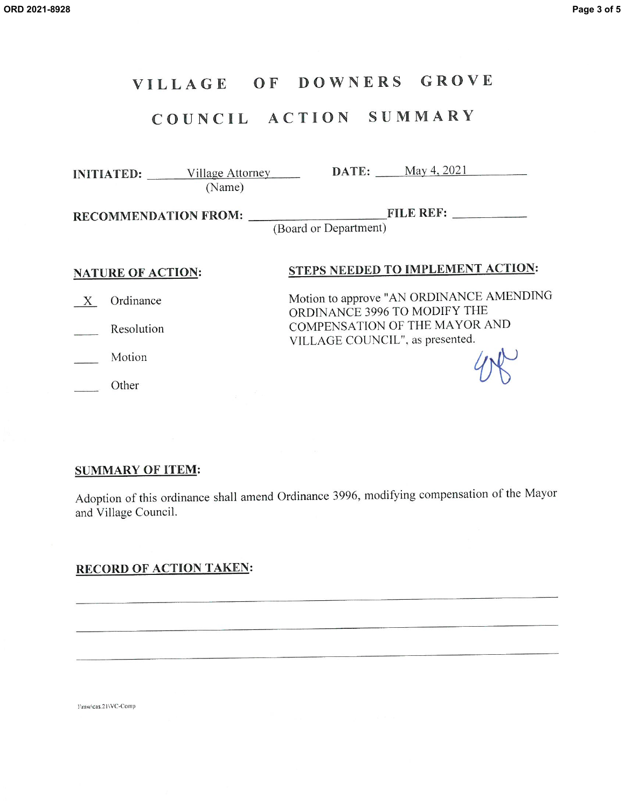#### OF DOWNERS GROVE VILLAGE

# COUNCIL ACTION SUMMARY

INITIATED: Village Attorney DATE: May 4, 2021 (Name)

(Board or Department)

## **NATURE OF ACTION:**

# STEPS NEEDED TO IMPLEMENT ACTION:

X Ordinance

Resolution

Motion

Other

Motion to approve "AN ORDINANCE AMENDING ORDINANCE 3996 TO MODIFY THE COMPENSATION OF THE MAYOR AND VILLAGE COUNCIL", as presented.

## **SUMMARY OF ITEM:**

Adoption of this ordinance shall amend Ordinance 3996, modifying compensation of the Mayor and Village Council.

## **RECORD OF ACTION TAKEN:**

1\mw\cas.21\VC-Comp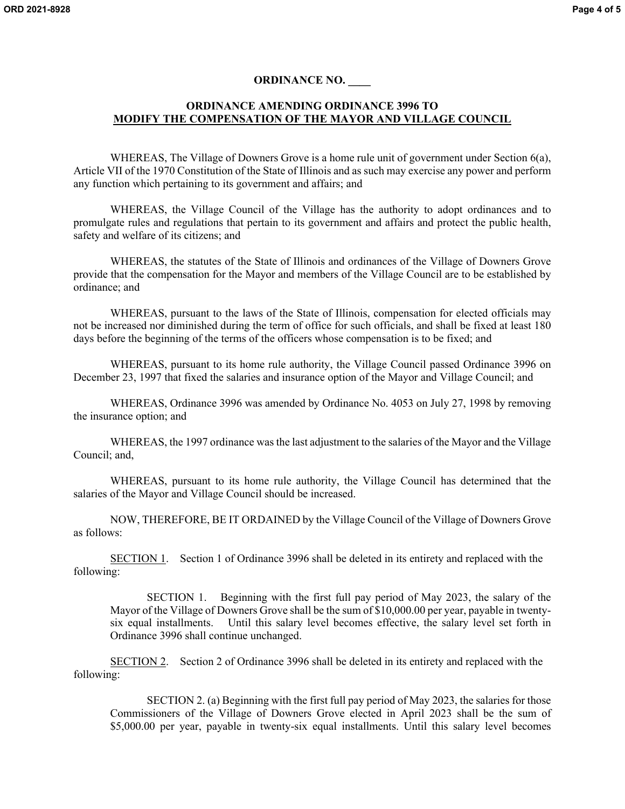### **ORDINANCE NO. \_\_\_\_**

### **ORDINANCE AMENDING ORDINANCE 3996 TO MODIFY THE COMPENSATION OF THE MAYOR AND VILLAGE COUNCIL**

WHEREAS, The Village of Downers Grove is a home rule unit of government under Section 6(a), Article VII of the 1970 Constitution of the State of Illinois and as such may exercise any power and perform any function which pertaining to its government and affairs; and

WHEREAS, the Village Council of the Village has the authority to adopt ordinances and to promulgate rules and regulations that pertain to its government and affairs and protect the public health, safety and welfare of its citizens; and

WHEREAS, the statutes of the State of Illinois and ordinances of the Village of Downers Grove provide that the compensation for the Mayor and members of the Village Council are to be established by ordinance; and

WHEREAS, pursuant to the laws of the State of Illinois, compensation for elected officials may not be increased nor diminished during the term of office for such officials, and shall be fixed at least 180 days before the beginning of the terms of the officers whose compensation is to be fixed; and

WHEREAS, pursuant to its home rule authority, the Village Council passed Ordinance 3996 on December 23, 1997 that fixed the salaries and insurance option of the Mayor and Village Council; and

WHEREAS, Ordinance 3996 was amended by Ordinance No. 4053 on July 27, 1998 by removing the insurance option; and

WHEREAS, the 1997 ordinance was the last adjustment to the salaries of the Mayor and the Village Council; and,

WHEREAS, pursuant to its home rule authority, the Village Council has determined that the salaries of the Mayor and Village Council should be increased.

NOW, THEREFORE, BE IT ORDAINED by the Village Council of the Village of Downers Grove as follows:

SECTION 1. Section 1 of Ordinance 3996 shall be deleted in its entirety and replaced with the following:

SECTION 1. Beginning with the first full pay period of May 2023, the salary of the Mayor of the Village of Downers Grove shall be the sum of \$10,000.00 per year, payable in twentysix equal installments. Until this salary level becomes effective, the salary level set forth in Ordinance 3996 shall continue unchanged.

SECTION 2. Section 2 of Ordinance 3996 shall be deleted in its entirety and replaced with the following:

SECTION 2. (a) Beginning with the first full pay period of May 2023, the salaries for those Commissioners of the Village of Downers Grove elected in April 2023 shall be the sum of \$5,000.00 per year, payable in twenty-six equal installments. Until this salary level becomes